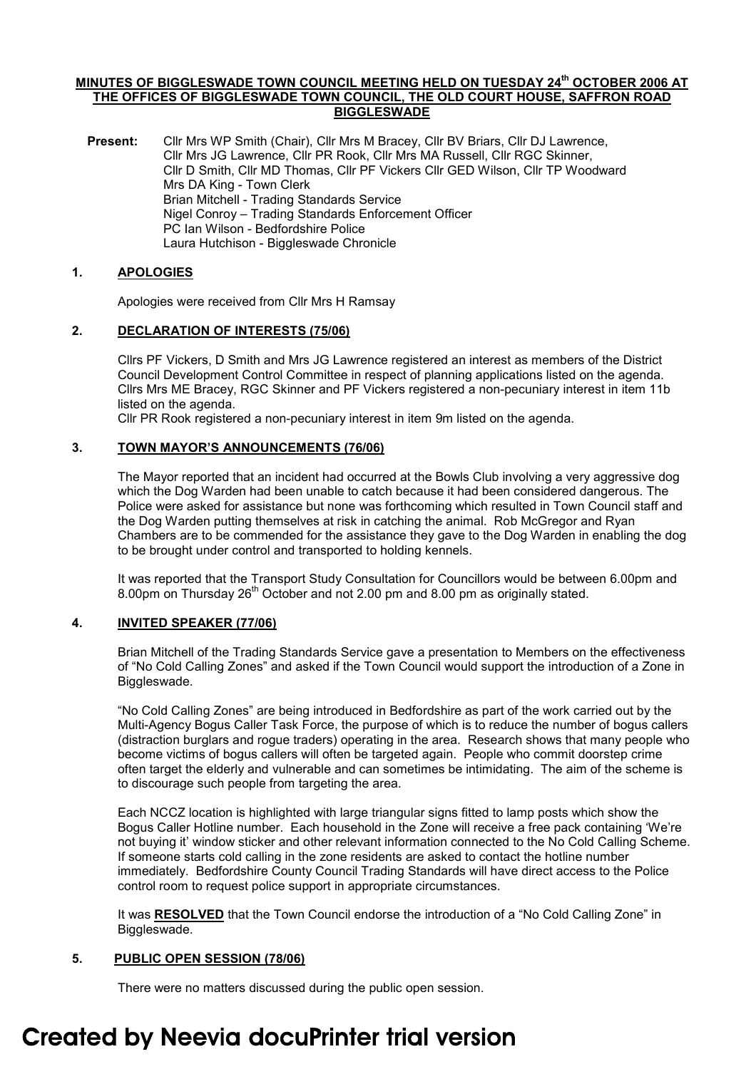#### MINUTES OF BIGGLESWADE TOWN COUNCIL MEETING HELD ON TUESDAY 24<sup>th</sup> OCTOBER 2006 AT THE OFFICES OF BIGGLESWADE TOWN COUNCIL, THE OLD COURT HOUSE, SAFFRON ROAD BIGGLESWADE

Present: Cllr Mrs WP Smith (Chair), Cllr Mrs M Bracey, Cllr BV Briars, Cllr DJ Lawrence, Cllr Mrs JG Lawrence, Cllr PR Rook, Cllr Mrs MA Russell, Cllr RGC Skinner, Cllr D Smith, Cllr MD Thomas, Cllr PF Vickers Cllr GED Wilson, Cllr TP Woodward Mrs DA King - Town Clerk Brian Mitchell - Trading Standards Service Nigel Conroy – Trading Standards Enforcement Officer PC Ian Wilson - Bedfordshire Police Laura Hutchison - Biggleswade Chronicle

# 1. APOLOGIES

Apologies were received from Cllr Mrs H Ramsay

# 2. DECLARATION OF INTERESTS (75/06)

Cllrs PF Vickers, D Smith and Mrs JG Lawrence registered an interest as members of the District Council Development Control Committee in respect of planning applications listed on the agenda. Cllrs Mrs ME Bracey, RGC Skinner and PF Vickers registered a non-pecuniary interest in item 11b listed on the agenda.

Cllr PR Rook registered a non-pecuniary interest in item 9m listed on the agenda.

# 3. TOWN MAYOR'S ANNOUNCEMENTS (76/06)

The Mayor reported that an incident had occurred at the Bowls Club involving a very aggressive dog which the Dog Warden had been unable to catch because it had been considered dangerous. The Police were asked for assistance but none was forthcoming which resulted in Town Council staff and the Dog Warden putting themselves at risk in catching the animal. Rob McGregor and Ryan Chambers are to be commended for the assistance they gave to the Dog Warden in enabling the dog to be brought under control and transported to holding kennels.

It was reported that the Transport Study Consultation for Councillors would be between 6.00pm and 8.00pm on Thursday  $26<sup>th</sup>$  October and not 2.00 pm and 8.00 pm as originally stated.

# 4. INVITED SPEAKER (77/06)

Brian Mitchell of the Trading Standards Service gave a presentation to Members on the effectiveness of "No Cold Calling Zones" and asked if the Town Council would support the introduction of a Zone in Biggleswade.

"No Cold Calling Zones" are being introduced in Bedfordshire as part of the work carried out by the Multi-Agency Bogus Caller Task Force, the purpose of which is to reduce the number of bogus callers (distraction burglars and rogue traders) operating in the area. Research shows that many people who become victims of bogus callers will often be targeted again. People who commit doorstep crime often target the elderly and vulnerable and can sometimes be intimidating. The aim of the scheme is to discourage such people from targeting the area.

Each NCCZ location is highlighted with large triangular signs fitted to lamp posts which show the Bogus Caller Hotline number. Each household in the Zone will receive a free pack containing 'We're not buying it' window sticker and other relevant information connected to the No Cold Calling Scheme. If someone starts cold calling in the zone residents are asked to contact the hotline number immediately. Bedfordshire County Council Trading Standards will have direct access to the Police control room to request police support in appropriate circumstances.

It was RESOLVED that the Town Council endorse the introduction of a "No Cold Calling Zone" in Biggleswade.

# 5. PUBLIC OPEN SESSION (78/06)

There were no matters discussed during the public open session.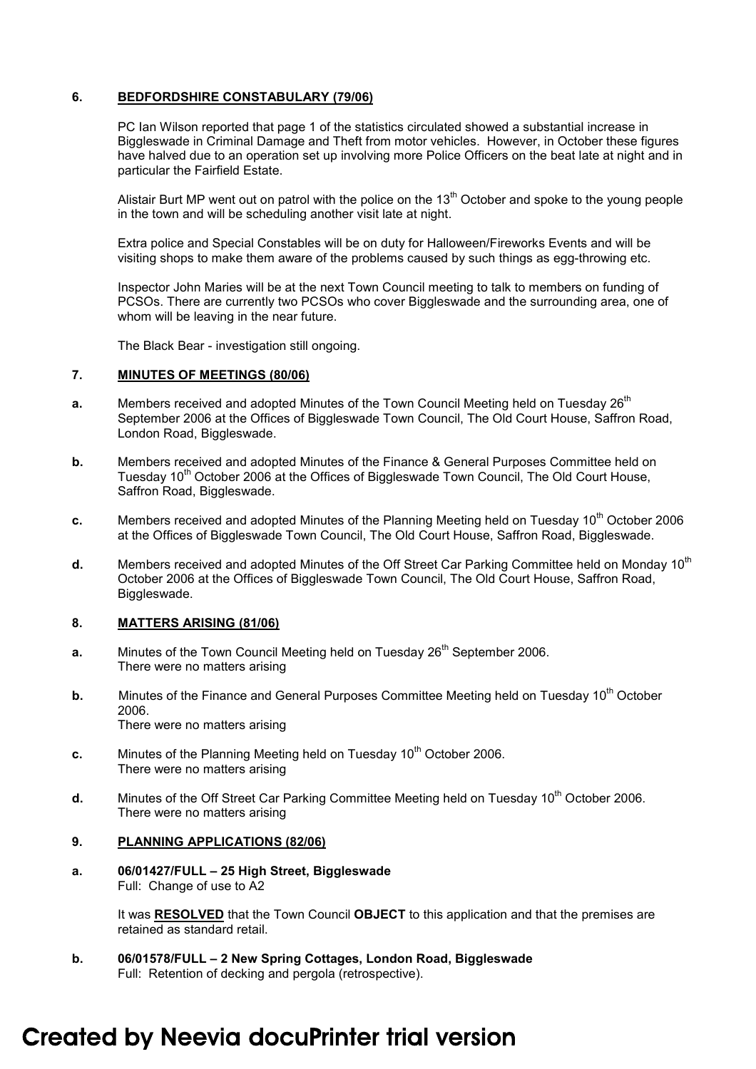## 6. BEDFORDSHIRE CONSTABULARY (79/06)

PC Ian Wilson reported that page 1 of the statistics circulated showed a substantial increase in Biggleswade in Criminal Damage and Theft from motor vehicles. However, in October these figures have halved due to an operation set up involving more Police Officers on the beat late at night and in particular the Fairfield Estate.

Alistair Burt MP went out on patrol with the police on the  $13<sup>th</sup>$  October and spoke to the young people in the town and will be scheduling another visit late at night.

Extra police and Special Constables will be on duty for Halloween/Fireworks Events and will be visiting shops to make them aware of the problems caused by such things as egg-throwing etc.

Inspector John Maries will be at the next Town Council meeting to talk to members on funding of PCSOs. There are currently two PCSOs who cover Biggleswade and the surrounding area, one of whom will be leaving in the near future.

The Black Bear - investigation still ongoing.

#### 7. MINUTES OF MEETINGS (80/06)

- **a.** Members received and adopted Minutes of the Town Council Meeting held on Tuesday 26<sup>th</sup> September 2006 at the Offices of Biggleswade Town Council, The Old Court House, Saffron Road, London Road, Biggleswade.
- b. Members received and adopted Minutes of the Finance & General Purposes Committee held on Tuesday 10<sup>th</sup> October 2006 at the Offices of Biggleswade Town Council, The Old Court House, Saffron Road, Biggleswade.
- c. Members received and adopted Minutes of the Planning Meeting held on Tuesday  $10<sup>th</sup>$  October 2006 at the Offices of Biggleswade Town Council, The Old Court House, Saffron Road, Biggleswade.
- d. Members received and adopted Minutes of the Off Street Car Parking Committee held on Monday 10<sup>th</sup> October 2006 at the Offices of Biggleswade Town Council, The Old Court House, Saffron Road, Biggleswade.

# 8. MATTERS ARISING (81/06)

- **a.** Minutes of the Town Council Meeting held on Tuesday  $26<sup>th</sup>$  September 2006. There were no matters arising
- b. Minutes of the Finance and General Purposes Committee Meeting held on Tuesday 10<sup>th</sup> October 2006. There were no matters arising
- c. Minutes of the Planning Meeting held on Tuesday  $10^{th}$  October 2006. There were no matters arising
- d. Minutes of the Off Street Car Parking Committee Meeting held on Tuesday 10<sup>th</sup> October 2006. There were no matters arising

## 9. PLANNING APPLICATIONS (82/06)

a. 06/01427/FULL – 25 High Street, Biggleswade Full: Change of use to A2

> It was RESOLVED that the Town Council OBJECT to this application and that the premises are retained as standard retail.

b. 06/01578/FULL – 2 New Spring Cottages, London Road, Biggleswade Full: Retention of decking and pergola (retrospective).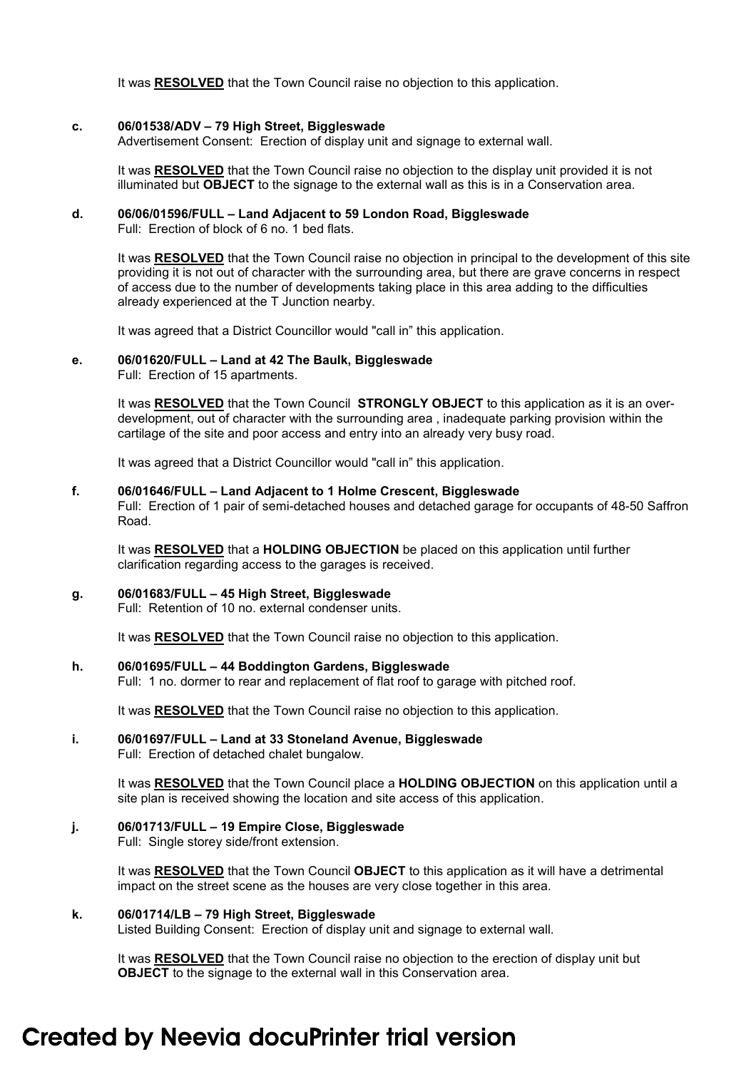It was RESOLVED that the Town Council raise no objection to this application.

#### c. 06/01538/ADV – 79 High Street, Biggleswade

Advertisement Consent: Erection of display unit and signage to external wall.

It was RESOLVED that the Town Council raise no objection to the display unit provided it is not illuminated but OBJECT to the signage to the external wall as this is in a Conservation area.

# d. 06/06/01596/FULL – Land Adjacent to 59 London Road, Biggleswade

Full: Erection of block of 6 no. 1 bed flats.

It was RESOLVED that the Town Council raise no objection in principal to the development of this site providing it is not out of character with the surrounding area, but there are grave concerns in respect of access due to the number of developments taking place in this area adding to the difficulties already experienced at the T Junction nearby.

It was agreed that a District Councillor would "call in" this application.

#### e. 06/01620/FULL – Land at 42 The Baulk, Biggleswade

Full: Erection of 15 apartments.

It was RESOLVED that the Town Council STRONGLY OBJECT to this application as it is an overdevelopment, out of character with the surrounding area , inadequate parking provision within the cartilage of the site and poor access and entry into an already very busy road.

It was agreed that a District Councillor would "call in" this application.

#### f. 06/01646/FULL – Land Adjacent to 1 Holme Crescent, Biggleswade

Full: Erection of 1 pair of semi-detached houses and detached garage for occupants of 48-50 Saffron Road.

It was RESOLVED that a HOLDING OBJECTION be placed on this application until further clarification regarding access to the garages is received.

#### g. 06/01683/FULL – 45 High Street, Biggleswade

Full: Retention of 10 no. external condenser units.

It was RESOLVED that the Town Council raise no objection to this application.

#### h. 06/01695/FULL – 44 Boddington Gardens, Biggleswade

Full: 1 no. dormer to rear and replacement of flat roof to garage with pitched roof.

It was RESOLVED that the Town Council raise no objection to this application.

# i. 06/01697/FULL – Land at 33 Stoneland Avenue, Biggleswade

Full: Erection of detached chalet bungalow.

It was RESOLVED that the Town Council place a HOLDING OBJECTION on this application until a site plan is received showing the location and site access of this application.

# j. 06/01713/FULL – 19 Empire Close, Biggleswade

Full: Single storey side/front extension.

It was RESOLVED that the Town Council OBJECT to this application as it will have a detrimental impact on the street scene as the houses are very close together in this area.

### k. 06/01714/LB – 79 High Street, Biggleswade

Listed Building Consent: Erection of display unit and signage to external wall.

It was RESOLVED that the Town Council raise no objection to the erection of display unit but **OBJECT** to the signage to the external wall in this Conservation area.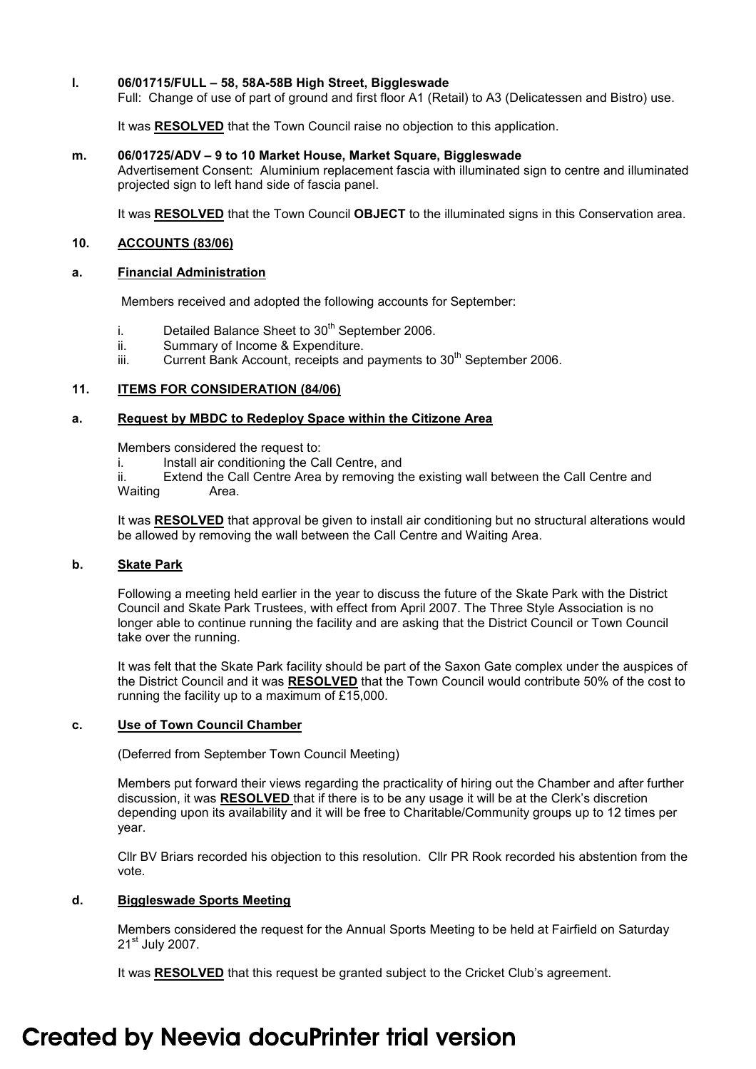#### l. 06/01715/FULL – 58, 58A-58B High Street, Biggleswade

Full: Change of use of part of ground and first floor A1 (Retail) to A3 (Delicatessen and Bistro) use.

It was RESOLVED that the Town Council raise no objection to this application.

#### m. 06/01725/ADV – 9 to 10 Market House, Market Square, Biggleswade

Advertisement Consent: Aluminium replacement fascia with illuminated sign to centre and illuminated projected sign to left hand side of fascia panel.

It was RESOLVED that the Town Council OBJECT to the illuminated signs in this Conservation area.

### 10. ACCOUNTS (83/06)

#### a. Financial Administration

Members received and adopted the following accounts for September:

- i. Detailed Balance Sheet to  $30<sup>th</sup>$  September 2006.
- ii. Summary of Income & Expenditure.
- iii. Current Bank Account, receipts and payments to  $30<sup>th</sup>$  September 2006.

### 11. **ITEMS FOR CONSIDERATION (84/06)**

### a. Request by MBDC to Redeploy Space within the Citizone Area

Members considered the request to:

i. Install air conditioning the Call Centre, and

 ii. Extend the Call Centre Area by removing the existing wall between the Call Centre and Waiting **Area.** 

It was RESOLVED that approval be given to install air conditioning but no structural alterations would be allowed by removing the wall between the Call Centre and Waiting Area.

# b. Skate Park

Following a meeting held earlier in the year to discuss the future of the Skate Park with the District Council and Skate Park Trustees, with effect from April 2007. The Three Style Association is no longer able to continue running the facility and are asking that the District Council or Town Council take over the running.

It was felt that the Skate Park facility should be part of the Saxon Gate complex under the auspices of the District Council and it was **RESOLVED** that the Town Council would contribute 50% of the cost to running the facility up to a maximum of £15,000.

# c. Use of Town Council Chamber

(Deferred from September Town Council Meeting)

Members put forward their views regarding the practicality of hiring out the Chamber and after further discussion, it was RESOLVED that if there is to be any usage it will be at the Clerk's discretion depending upon its availability and it will be free to Charitable/Community groups up to 12 times per year.

Cllr BV Briars recorded his objection to this resolution. Cllr PR Rook recorded his abstention from the vote.

# d. Biggleswade Sports Meeting

Members considered the request for the Annual Sports Meeting to be held at Fairfield on Saturday 21<sup>st</sup> July 2007.

It was RESOLVED that this request be granted subject to the Cricket Club's agreement.